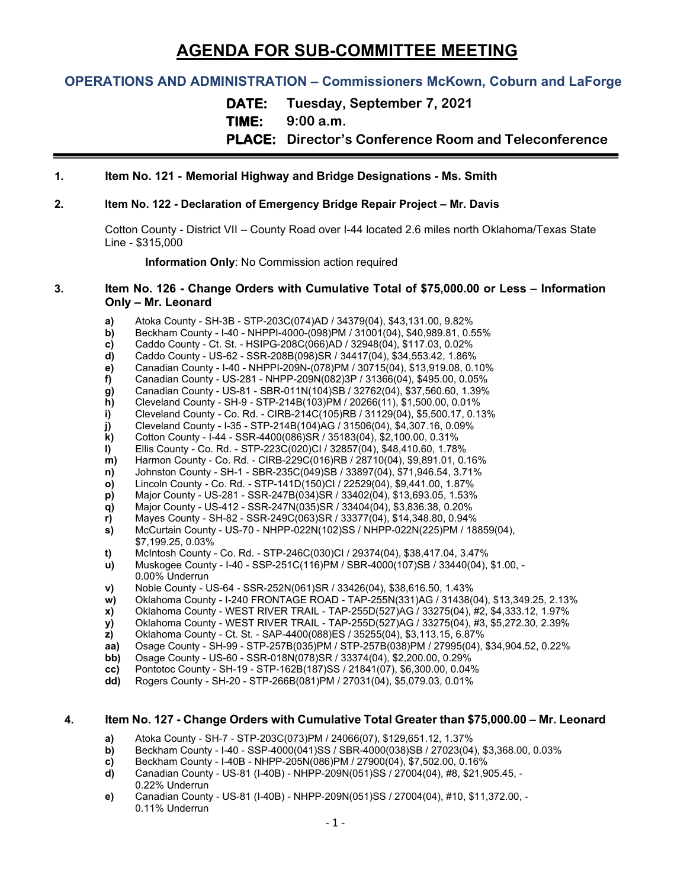# **AGENDA FOR SUB-COMMITTEE MEETING**

# **OPERATIONS AND ADMINISTRATION – Commissioners McKown, Coburn and LaForge**

**DATE: Tuesday, September 7, 2021**

**TIME: 9:00 a.m.**

**PLACE: Director's Conference Room and Teleconference**

# **1. Item No. 121 - Memorial Highway and Bridge Designations - Ms. Smith**

#### **2. Item No. 122 - Declaration of Emergency Bridge Repair Project – Mr. Davis**

Cotton County - District VII – County Road over I-44 located 2.6 miles north Oklahoma/Texas State Line - \$315,000

**Information Only**: No Commission action required

#### **3. Item No. 126 - Change Orders with Cumulative Total of \$75,000.00 or Less – Information Only – Mr. Leonard**

- **a)** Atoka County SH-3B STP-203C(074)AD / 34379(04), \$43,131.00, 9.82%
- **b)** Beckham County I-40 NHPPI-4000-(098)PM / 31001(04), \$40,989.81, 0.55% **c)** Caddo County Ct. St. HSIPG-208C(066)AD / 32948(04), \$117.03, 0.02%
- **c)** Caddo County Ct. St. HSIPG-208C(066)AD / 32948(04), \$117.03, 0.02%
- **d)** Caddo County US-62 SSR-208B(098)SR / 34417(04), \$34,553.42, 1.86%
- 
- **e)** Canadian County I-40 NHPPI-209N-(078)PM / 30715(04), \$13,919.08, 0.10% **f)** Canadian County - US-281 - NHPP-209N(082)3P / 31366(04), \$495.00, 0.05%
- 
- **g)** Canadian County US-81 SBR-011N(104)SB / 32762(04), \$37,560.60, 1.39% **h)** Cleveland County - SH-9 - STP-214B(103)PM / 20266(11), \$1,500.00, 0.01%
- **i)** Cleveland County Co. Rd. CIRB-214C(105)RB / 31129(04), \$5,500.17, 0.13%<br>**j)** Cleveland County I-35 STP-214B(104)AG / 31506(04), \$4,307.16, 0.09%
- **j)** Cleveland County I-35 STP-214B(104)AG / 31506(04), \$4,307.16, 0.09%<br>**k)** Cotton County I-44 SSR-4400(086)SR / 35183(04), \$2,100.00, 0.31%
- **k)** Cotton County I-44 SSR-4400(086)SR / 35183(04), \$2,100.00, 0.31%
- **l)** Ellis County Co. Rd. STP-223C(020)CI / 32857(04), \$48,410.60, 1.78%
- **m)** Harmon County Co. Rd. CIRB-229C(016)RB / 28710(04), \$9,891.01, 0.16%
- **n)** Johnston County SH-1 SBR-235C(049)SB / 33897(04), \$71,946.54, 3.71%
- **o)** Lincoln County Co. Rd. STP-141D(150)CI / 22529(04), \$9,441.00, 1.87%
- **p)** Major County US-281 SSR-247B(034)SR / 33402(04), \$13,693.05, 1.53%<br>**q)** Major County US-412 SSR-247N(035)SR / 33404(04), \$3,836.38, 0.20%
- **q)** Major County US-412 SSR-247N(035)SR / 33404(04), \$3,836.38, 0.20%
- **r)** Mayes County SH-82 SSR-249C(063)SR / 33377(04), \$14,348.80, 0.94%
- **s)** McCurtain County US-70 NHPP-022N(102)SS / NHPP-022N(225)PM / 18859(04), \$7,199.25, 0.03%
- **t)** McIntosh County Co. Rd. STP-246C(030)CI / 29374(04), \$38,417.04, 3.47%
- **u)** Muskogee County I-40 SSP-251C(116)PM / SBR-4000(107)SB / 33440(04), \$1.00, 0.00% Underrun
- **v)** Noble County US-64 SSR-252N(061)SR / 33426(04), \$38,616.50, 1.43%
- **w)** Oklahoma County I-240 FRONTAGE ROAD TAP-255N(331)AG / 31438(04), \$13,349.25, 2.13%<br>**x)** Oklahoma County WEST RIVER TRAIL TAP-255D(527)AG / 33275(04), #2, \$4,333.12, 1.97%
- **x)** Oklahoma County WEST RIVER TRAIL TAP-255D(527)AG / 33275(04), #2, \$4,333.12, 1.97%
- **y)** Oklahoma County WEST RIVER TRAIL TAP-255D(527)AG / 33275(04), #3, \$5,272.30, 2.39%
- **z)** Oklahoma County Ct. St. SAP-4400(088)ES / 35255(04), \$3,113.15, 6.87%<br>**aa)** Osage County SH-99 STP-257B(035)PM / STP-257B(038)PM / 27995(04),
- **aa)** Osage County SH-99 STP-257B(035)PM / STP-257B(038)PM / 27995(04), \$34,904.52, 0.22%
- **bb)** Osage County US-60 SSR-018N(078)SR / 33374(04), \$2,200.00, 0.29%
- **cc)** Pontotoc County SH-19 STP-162B(187)SS / 21841(07), \$6,300.00, 0.04%
- **dd)** Rogers County SH-20 STP-266B(081)PM / 27031(04), \$5,079.03, 0.01%

# **4. Item No. 127 - Change Orders with Cumulative Total Greater than \$75,000.00 – Mr. Leonard**

- **a)** Atoka County SH-7 STP-203C(073)PM / 24066(07), \$129,651.12, 1.37%
- **b)** Beckham County I-40 SSP-4000(041)SS / SBR-4000(038)SB / 27023(04), \$3,368.00, 0.03% <br>**c)** Beckham County I-40B NHPP-205N(086)PM / 27900(04), \$7,502.00, 0.16%
- **c)** Beckham County I-40B NHPP-205N(086)PM / 27900(04), \$7,502.00, 0.16%<br>**d)** Canadian County US-81 (I-40B) NHPP-209N(051)SS / 27004(04), #8, \$21,9
- **d)** Canadian County US-81 (I-40B) NHPP-209N(051)SS / 27004(04), #8, \$21,905.45, 0.22% Underrun
- **e)** Canadian County US-81 (I-40B) NHPP-209N(051)SS / 27004(04), #10, \$11,372.00, 0.11% Underrun